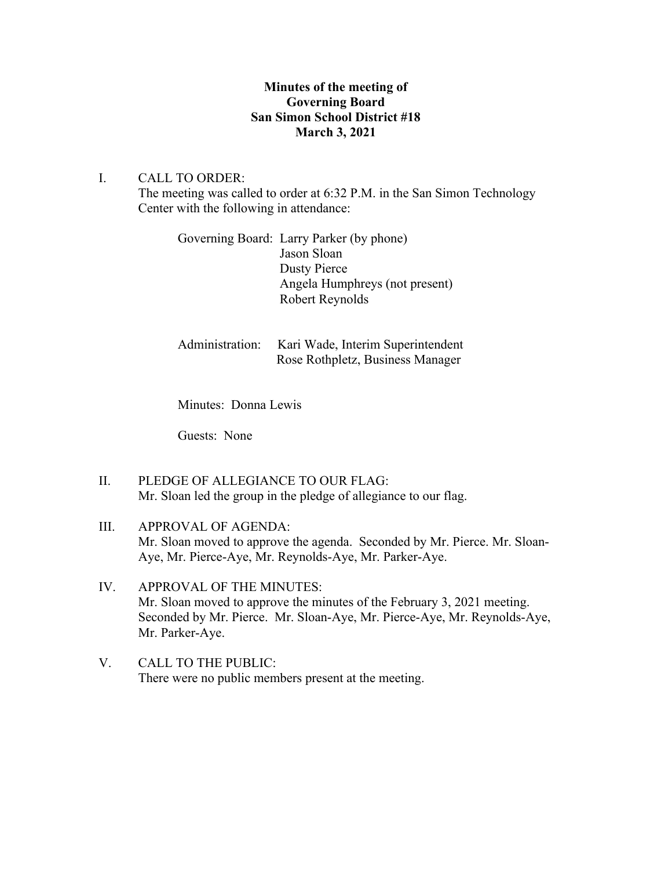# **Minutes of the meeting of Governing Board San Simon School District #18 March 3, 2021**

# I. CALL TO ORDER:

The meeting was called to order at 6:32 P.M. in the San Simon Technology Center with the following in attendance:

| Governing Board: Larry Parker (by phone) |
|------------------------------------------|
| Jason Sloan                              |
| Dusty Pierce                             |
| Angela Humphreys (not present)           |
| Robert Reynolds                          |
|                                          |

| Administration: Kari Wade, Interim Superintendent |
|---------------------------------------------------|
| Rose Rothpletz, Business Manager                  |

Minutes: Donna Lewis

Guests: None

II. PLEDGE OF ALLEGIANCE TO OUR FLAG: Mr. Sloan led the group in the pledge of allegiance to our flag.

# III. APPROVAL OF AGENDA: Mr. Sloan moved to approve the agenda. Seconded by Mr. Pierce. Mr. Sloan-Aye, Mr. Pierce-Aye, Mr. Reynolds-Aye, Mr. Parker-Aye.

- IV. APPROVAL OF THE MINUTES: Mr. Sloan moved to approve the minutes of the February 3, 2021 meeting. Seconded by Mr. Pierce. Mr. Sloan-Aye, Mr. Pierce-Aye, Mr. Reynolds-Aye, Mr. Parker-Aye.
- V. CALL TO THE PUBLIC: There were no public members present at the meeting.